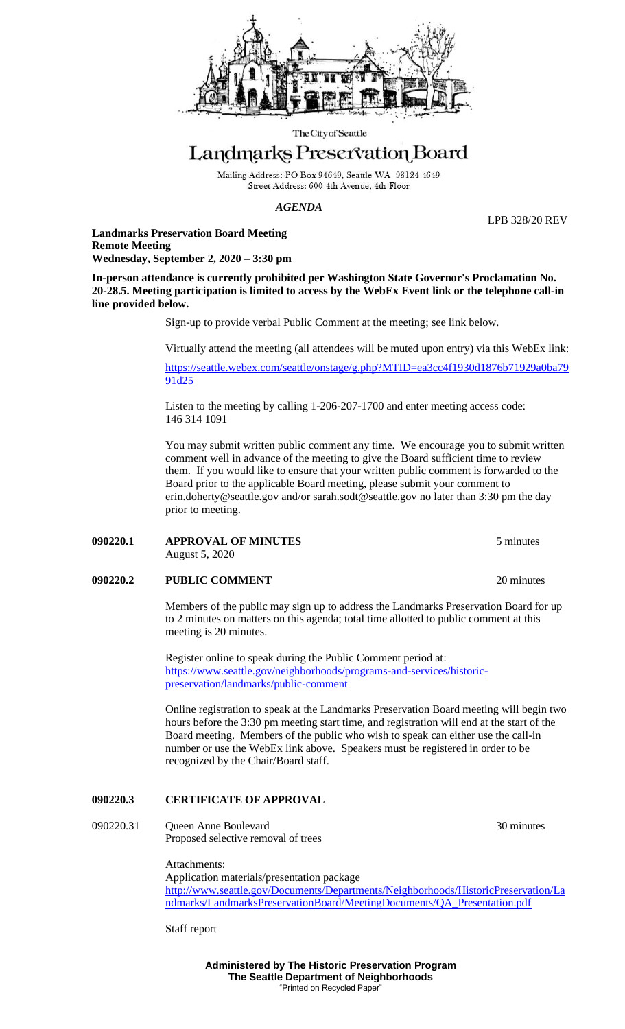

The City of Seattle

# Landmarks Preservation Board

Mailing Address: PO Box 94649, Seattle WA 98124-4649 Street Address: 600 4th Avenue, 4th Floor

#### *AGENDA*

LPB 328/20 REV

**Landmarks Preservation Board Meeting Remote Meeting Wednesday, September 2, 2020 – 3:30 pm**

**In-person attendance is currently prohibited per Washington State Governor's Proclamation No. 20-28.5. Meeting participation is limited to access by the WebEx Event link or the telephone call-in line provided below.**

Sign-up to provide verbal Public Comment at the meeting; see link below.

Virtually attend the meeting (all attendees will be muted upon entry) via this WebEx link:

[https://seattle.webex.com/seattle/onstage/g.php?MTID=ea3cc4f1930d1876b71929a0ba79](https://seattle.webex.com/seattle/onstage/g.php?MTID=ea3cc4f1930d1876b71929a0ba7991d25) [91d25](https://seattle.webex.com/seattle/onstage/g.php?MTID=ea3cc4f1930d1876b71929a0ba7991d25)

Listen to the meeting by calling 1-206-207-1700 and enter meeting access code: 146 314 1091

You may submit written public comment any time. We encourage you to submit written comment well in advance of the meeting to give the Board sufficient time to review them. If you would like to ensure that your written public comment is forwarded to the Board prior to the applicable Board meeting, please submit your comment to [erin.doherty@seattle.gov](mailto:erin.doherty@seattle.gov) and/or [sarah.sodt@seattle.gov](mailto:sarah.sodt@seattle.gov) no later than 3:30 pm the day prior to meeting.

### **090220.1 APPROVAL OF MINUTES** 5 minutes August 5, 2020

## **090220.2 PUBLIC COMMENT** 20 minutes

Members of the public may sign up to address the Landmarks Preservation Board for up to 2 minutes on matters on this agenda; total time allotted to public comment at this meeting is 20 minutes.

Register online to speak during the Public Comment period at: [https://www.seattle.gov/neighborhoods/programs-and-services/historic](https://www.seattle.gov/neighborhoods/programs-and-services/historic-preservation/landmarks/public-comment)[preservation/landmarks/public-comment](https://www.seattle.gov/neighborhoods/programs-and-services/historic-preservation/landmarks/public-comment)

Online registration to speak at the Landmarks Preservation Board meeting will begin two hours before the 3:30 pm meeting start time, and registration will end at the start of the Board meeting. Members of the public who wish to speak can either use the call-in number or use the WebEx link above. Speakers must be registered in order to be recognized by the Chair/Board staff.

## **090220.3 CERTIFICATE OF APPROVAL**

090220.31 Queen Anne Boulevard 30 minutes Proposed selective removal of trees

Attachments:

Application materials/presentation package [http://www.seattle.gov/Documents/Departments/Neighborhoods/HistoricPreservation/La](http://www.seattle.gov/Documents/Departments/Neighborhoods/HistoricPreservation/Landmarks/LandmarksPreservationBoard/MeetingDocuments/QA_Presentation.pdf) [ndmarks/LandmarksPreservationBoard/MeetingDocuments/QA\\_Presentation.pdf](http://www.seattle.gov/Documents/Departments/Neighborhoods/HistoricPreservation/Landmarks/LandmarksPreservationBoard/MeetingDocuments/QA_Presentation.pdf)

Staff report